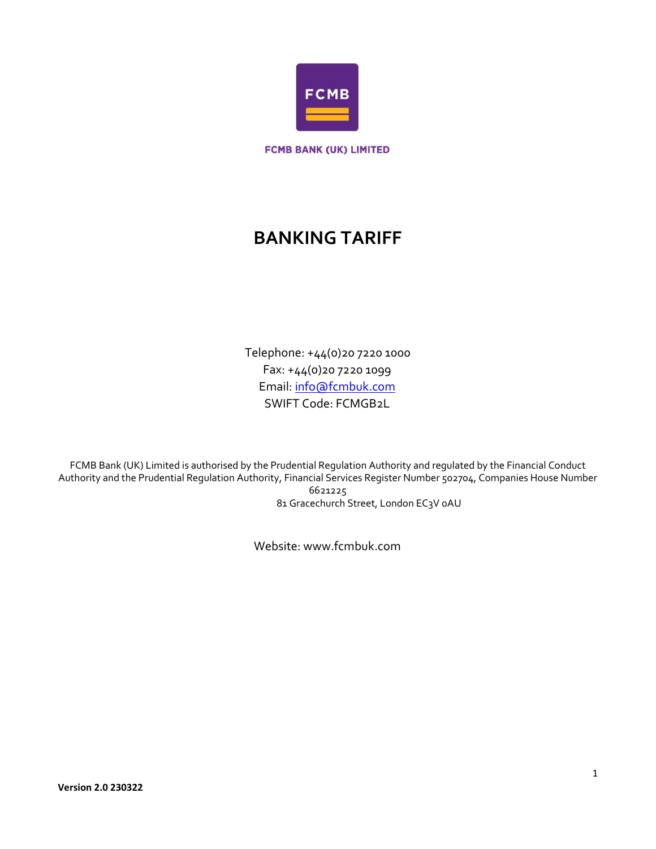

**FCMB BANK (UK) LIMITED** 

# **BANKING TARIFF**

Telephone: +44(0)20 7220 1000 Fax: +44(0)20 7220 1099 Email: info@fcmbuk.com SWIFT Code: FCMGB2L

FCMB Bank (UK) Limited is authorised by the Prudential Regulation Authority and regulated by the Financial Conduct Authority and the Prudential Regulation Authority, Financial Services Register Number 502704, Companies House Number 6621225 81 Gracechurch Street, London EC3V oAU

Website: www.fcmbuk.com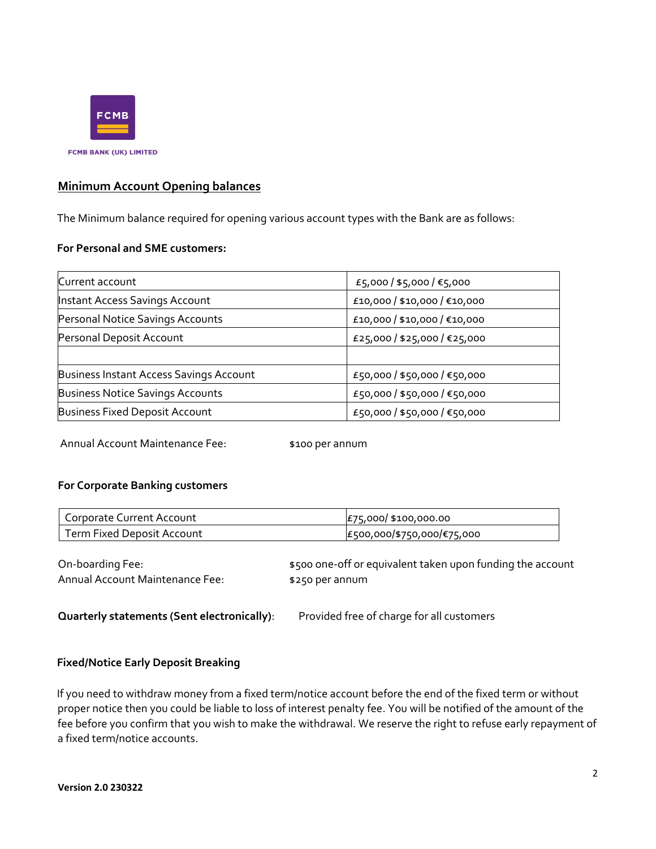

# **Minimum Account Opening balances**

The Minimum balance required for opening various account types with the Bank are as follows:

## **For Personal and SME customers:**

| Current account                         | £5,000 / \$5,000 / €5,000    |
|-----------------------------------------|------------------------------|
| <b>Instant Access Savings Account</b>   | £10,000 / \$10,000 / €10,000 |
| Personal Notice Savings Accounts        | £10,000 / \$10,000 / €10,000 |
| Personal Deposit Account                | £25,000 / \$25,000 / €25,000 |
|                                         |                              |
| Business Instant Access Savings Account | £50,000 / \$50,000 / €50,000 |
| <b>Business Notice Savings Accounts</b> | £50,000 / \$50,000 / €50,000 |
| <b>Business Fixed Deposit Account</b>   | £50,000 / \$50,000 / €50,000 |

Annual Account Maintenance Fee: \$100 per annum

# **For Corporate Banking customers**

| Corporate Current Account  | £75,000 \$100,000.00       |
|----------------------------|----------------------------|
| Term Fixed Deposit Account | £500,000/\$750,000/€75,000 |

Annual Account Maintenance Fee: \$250 per annum

On-boarding Fee:  $\bullet$  \$500 one-off or equivalent taken upon funding the account

**Quarterly statements (Sent electronically)**: Provided free of charge for all customers

# **Fixed/Notice Early Deposit Breaking**

If you need to withdraw money from a fixed term/notice account before the end of the fixed term or without proper notice then you could be liable to loss of interest penalty fee. You will be notified of the amount of the fee before you confirm that you wish to make the withdrawal. We reserve the right to refuse early repayment of a fixed term/notice accounts.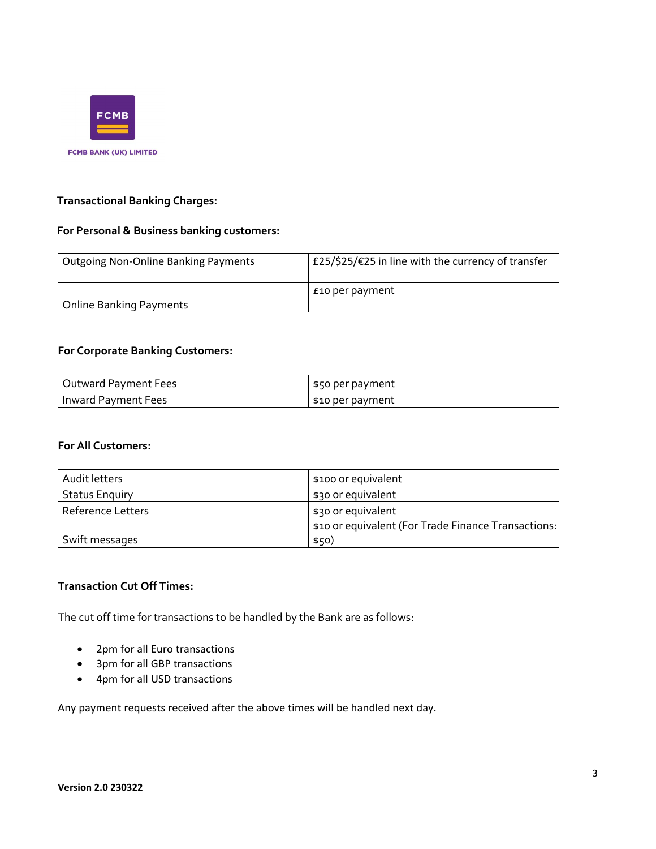

# **Transactional Banking Charges:**

# **For Personal & Business banking customers:**

| <b>Outgoing Non-Online Banking Payments</b> | £25/\$25/€25 in line with the currency of transfer |
|---------------------------------------------|----------------------------------------------------|
| <b>Online Banking Payments</b>              | £10 per payment                                    |

# **For Corporate Banking Customers:**

| Outward Payment Fees  | \$50 per payment |
|-----------------------|------------------|
| l Inward Payment Fees | \$10 per payment |

#### **For All Customers:**

| Audit letters            | \$100 or equivalent                                 |
|--------------------------|-----------------------------------------------------|
| <b>Status Enguiry</b>    | \$30 or equivalent                                  |
| <b>Reference Letters</b> | \$30 or equivalent                                  |
|                          | \$10 or equivalent (For Trade Finance Transactions: |
| Swift messages           | \$50)                                               |

# **Transaction Cut Off Times:**

The cut off time for transactions to be handled by the Bank are as follows:

- 2pm for all Euro transactions
- 3pm for all GBP transactions
- 4pm for all USD transactions

Any payment requests received after the above times will be handled next day.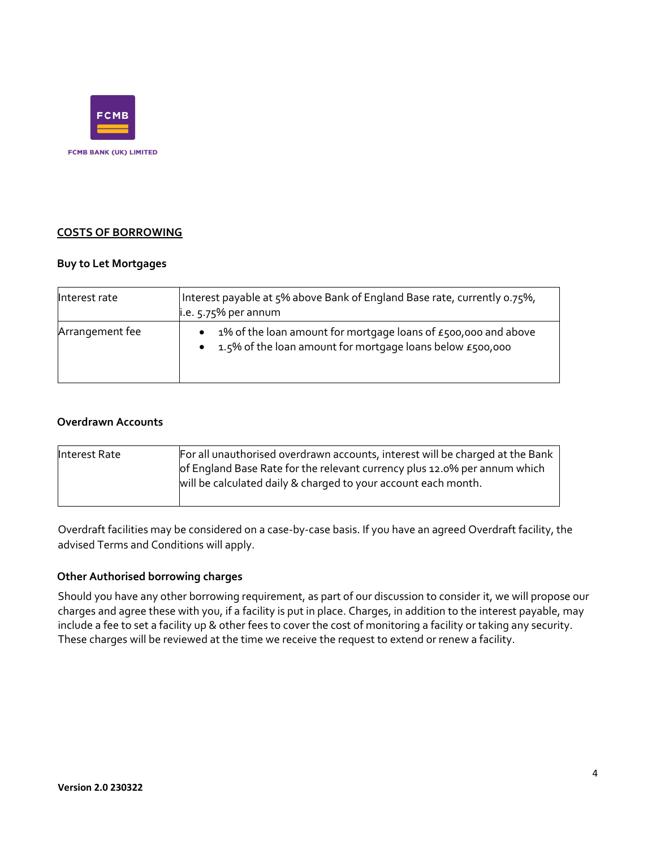

# **COSTS OF BORROWING**

## **Buy to Let Mortgages**

| Interest rate   | Interest payable at 5% above Bank of England Base rate, currently 0.75%,<br>i.e. $5.75%$ per annum                             |
|-----------------|--------------------------------------------------------------------------------------------------------------------------------|
| Arrangement fee | 1% of the loan amount for mortgage loans of $E$ 500,000 and above<br>1.5% of the loan amount for mortgage loans below £500,000 |

### **Overdrawn Accounts**

| Interest Rate | For all unauthorised overdrawn accounts, interest will be charged at the Bank<br>of England Base Rate for the relevant currency plus 12.0% per annum which<br>will be calculated daily & charged to your account each month. |
|---------------|------------------------------------------------------------------------------------------------------------------------------------------------------------------------------------------------------------------------------|
|               |                                                                                                                                                                                                                              |

Overdraft facilities may be considered on a case-by-case basis. If you have an agreed Overdraft facility, the advised Terms and Conditions will apply.

## **Other Authorised borrowing charges**

Should you have any other borrowing requirement, as part of our discussion to consider it, we will propose our charges and agree these with you, if a facility is put in place. Charges, in addition to the interest payable, may include a fee to set a facility up & other fees to cover the cost of monitoring a facility or taking any security. These charges will be reviewed at the time we receive the request to extend or renew a facility.